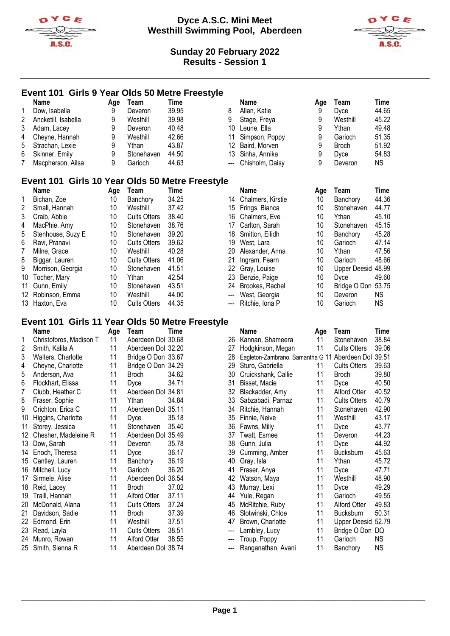



# **Event 101 Girls 9 Year Olds 50 Metre Freestyle**

|   | Name                | Aae | Team       | Time  |    | Name                | Aae | Team         | Time  |
|---|---------------------|-----|------------|-------|----|---------------------|-----|--------------|-------|
|   | Dow, Isabella       | 9   | Deveron    | 39.95 | 8  | Allan, Katie        | 9   | Dyce         | 44.65 |
| 2 | Ancketill, Isabella | 9   | Westhill   | 39.98 | 9  | Stage, Freya        | 9   | Westhill     | 45.22 |
| 3 | Adam, Lacey         |     | Deveron    | 40.48 | 10 | Leune. Ella         | 9   | Ythan        | 49.48 |
| 4 | Cheyne, Hannah      |     | Westhill   | 42.66 |    | 11 Simpson, Poppy   | 9   | Garioch      | 51.35 |
| 5 | Strachan, Lexie     | 9   | Ythan      | 43.87 |    | 12 Baird, Morven    | 9   | <b>Broch</b> | 51.92 |
| 6 | Skinner, Emily      |     | Stonehaven | 44.50 |    | 13 Sinha, Annika    | 9   | Dyce         | 54.83 |
|   | Macpherson, Ailsa   | 9   | Garioch    | 44.63 |    | --- Chisholm, Daisy | 9   | Deveron      | ΝS    |

# **Event 101 Girls 10 Year Olds 50 Metre Freestyle**

|    | <b>Name</b>       | Age | Team                | Time  |
|----|-------------------|-----|---------------------|-------|
| 1  | Bichan, Zoe       | 10  | Banchory            | 34.25 |
| 2  | Small, Hannah     | 10  | Westhill            | 37.42 |
| 3  | Craib, Abbie      | 10  | <b>Cults Otters</b> | 38.40 |
| 4  | MacPhie, Amy      | 10  | Stonehaven          | 38.76 |
| 5  | Stenhouse, Suzy E | 10  | Stonehaven          | 39.20 |
| 6  | Ravi, Pranavi     | 10  | <b>Cults Otters</b> | 39.62 |
| 7  | Milne, Grace      | 10  | Westhill            | 40.28 |
| 8  | Biggar, Lauren    | 10  | <b>Cults Otters</b> | 41.06 |
| 9  | Morrison, Georgia | 10  | Stonehaven          | 41.51 |
| 10 | Tocher, Mary      | 10  | Ythan               | 42.54 |
| 11 | Gunn, Emily       | 10  | Stonehaven          | 43.51 |
|    | 12 Robinson, Emma | 10  | Westhill            | 44.00 |
| 13 | Haxton, Eva       | 10  | <b>Cults Otters</b> | 44.35 |

| Age | Team                | Time  |                           | Name                                          | Age                                                                                                                                                              | Team               | <b>Time</b> |
|-----|---------------------|-------|---------------------------|-----------------------------------------------|------------------------------------------------------------------------------------------------------------------------------------------------------------------|--------------------|-------------|
| 10  | Banchory            | 34.25 |                           |                                               | 10                                                                                                                                                               | Banchory           | 44.36       |
| 10  | Westhill            | 37.42 |                           |                                               | 10                                                                                                                                                               | Stonehaven         | 44.77       |
| 10  | <b>Cults Otters</b> | 38.40 | 16                        |                                               | 10                                                                                                                                                               | Ythan              | 45.10       |
| 10  | Stonehaven          | 38.76 | 17                        | Carlton, Sarah                                | 10                                                                                                                                                               | Stonehaven         | 45.15       |
| 10  | Stonehaven          | 39.20 | 18                        |                                               | 10                                                                                                                                                               | Banchory           | 45.28       |
| 10  | <b>Cults Otters</b> | 39.62 | 19                        | West, Lara                                    | 10                                                                                                                                                               | Garioch            | 47.14       |
| 10  | Westhill            | 40.28 | 20                        | Alexander, Anna                               | 10                                                                                                                                                               | Ythan              | 47.56       |
| 10  | <b>Cults Otters</b> | 41.06 | 21                        | Ingram, Fearn                                 | 10                                                                                                                                                               | Garioch            | 48.66       |
| 10  | Stonehaven          | 41.51 |                           |                                               | 10                                                                                                                                                               | Upper Deesid 48.99 |             |
| 10  | Ythan               | 42.54 |                           |                                               | 10                                                                                                                                                               | Dyce               | 49.60       |
| 10  | Stonehaven          | 43.51 |                           |                                               | 10                                                                                                                                                               | Bridge O Don 53.75 |             |
| 10  | Westhill            | 44.00 | $\qquad \qquad -\qquad -$ | West, Georgia                                 | 10                                                                                                                                                               | Deveron            | NS.         |
| 10  | <b>Cults Otters</b> | 44.35 | $\qquad \qquad -\qquad -$ |                                               | 10                                                                                                                                                               | Garioch            | NS.         |
|     |                     |       |                           | ent 101 Girls 10 fear Olds 50 Metre Freestyle | 14 Chalmers, Kirstie<br>15 Frings, Bianca<br>Chalmers, Eve<br>Smitton, Eilidh<br>22 Gray, Louise<br>23 Benzie, Paige<br>Brookes, Rachel<br>24<br>Ritchie, Iona P |                    |             |

### **Event 101 Girls 11 Year Olds 50 Metre Freestyle**

|                | Name                    | Age | Team                | Time  |     | Name                             | Age | Team                | Time      |
|----------------|-------------------------|-----|---------------------|-------|-----|----------------------------------|-----|---------------------|-----------|
| 1              | Christoforos, Madison T | 11  | Aberdeen Dol 30.68  |       | 26  | Kannan, Shameera                 | 11  | Stonehaven          | 38.84     |
| $\overline{2}$ | Smith, Kalila A         | 11  | Aberdeen Dol 32.20  |       | 27  | Hodgkinson, Megan                | 11  | <b>Cults Otters</b> | 39.06     |
| 3              | Walters, Charlotte      | 11  | Bridge O Don 33.67  |       | 28  | Eagleton-Zambrano, Samantha G 11 |     | Aberdeen Dol        | 39.51     |
| 4              | Cheyne, Charlotte       | 11  | Bridge O Don 34.29  |       | 29  | Sturo, Gabriella                 | 11  | <b>Cults Otters</b> | 39.63     |
| 5              | Anderson, Ava           | 11  | <b>Broch</b>        | 34.62 | 30  | Cruickshank, Callie              | 11  | <b>Broch</b>        | 39.80     |
| 6              | Flockhart, Elissa       | 11  | <b>Dyce</b>         | 34.71 | 31  | Bisset, Macie                    | 11  | <b>Dyce</b>         | 40.50     |
| 7              | Clubb, Heather C        | 11  | Aberdeen Dol 34.81  |       | 32  | Blackadder, Amy                  | 11  | Alford Otter        | 40.52     |
| 8              | Fraser, Sophie          | 11  | Ythan               | 34.84 | 33  | Sabzabadi, Parnaz                | 11  | <b>Cults Otters</b> | 40.79     |
| 9              | Crichton, Erica C       | 11  | Aberdeen Dol 35.11  |       | 34  | Ritchie, Hannah                  | 11  | Stonehaven          | 42.90     |
| 10             | Higgins, Charlotte      | 11  | Dyce                | 35.18 | 35  | Finnie, Neive                    | 11  | Westhill            | 43.17     |
| 11             | Storey, Jessica         | 11  | Stonehaven          | 35.40 | 36  | Fawns, Milly                     | 11  | <b>Dyce</b>         | 43.77     |
| 12             | Chesher, Madeleine R    | 11  | Aberdeen Dol 35.49  |       | 37  | Twatt, Esmee                     | 11  | Deveron             | 44.23     |
| 13             | Dow, Sarah              | 11  | Deveron             | 35.78 | 38  | Gunn, Julia                      | 11  | <b>Dyce</b>         | 44.92     |
| 14             | Enoch, Theresa          | 11  | <b>Dyce</b>         | 36.17 | 39  | Cumming, Amber                   | 11  | <b>Bucksburn</b>    | 45.63     |
| 15             | Cantley, Lauren         | 11  | Banchory            | 36.19 | 40  | Gray, Isla                       | 11  | Ythan               | 45.72     |
| 16             | Mitchell, Lucy          | 11  | Garioch             | 36.20 | 41  | Fraser, Anya                     | 11  | Dyce                | 47.71     |
| 17             | Sirmele, Alise          | 11  | Aberdeen Dol        | 36.54 | 42  | Watson, Maya                     | 11  | Westhill            | 48.90     |
| 18             | Reid, Lacey             | 11  | <b>Broch</b>        | 37.02 | 43  | Murray, Lexi                     | 11  | Dyce                | 49.29     |
| 19             | Traill, Hannah          | 11  | Alford Otter        | 37.11 | 44  | Yule, Regan                      | 11  | Garioch             | 49.55     |
| 20             | McDonald, Alana         | 11  | <b>Cults Otters</b> | 37.24 | 45  | McRitchie, Ruby                  | 11  | <b>Alford Otter</b> | 49.83     |
| 21             | Davidson, Sadie         | 11  | Broch               | 37.39 | 46  | Slotwinski, Chloe                | 11  | <b>Bucksburn</b>    | 50.31     |
| 22             | Edmond, Erin            | 11  | Westhill            | 37.51 | 47  | Brown, Charlotte                 | 11  | Upper Deesid 52.79  |           |
| 23             | Read, Layla             | 11  | <b>Cults Otters</b> | 38.51 | --- | Lambley, Lucy                    | 11  | Bridge O Don DQ     |           |
| 24             | Munro, Rowan            | 11  | Alford Otter        | 38.55 | --- | Troup, Poppy                     | 11  | Garioch             | <b>NS</b> |
| 25             | Smith, Sienna R         | 11  | Aberdeen Dol 38.74  |       |     | Ranganathan, Avani               | 11  | Banchory            | <b>NS</b> |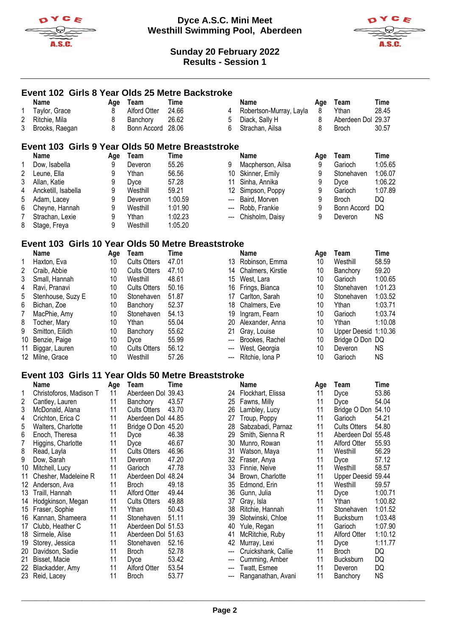



|             | Event 102 Girls 8 Year Olds 25 Metre Backstroke    |     |                     |             |                 |                         |     |                      |             |
|-------------|----------------------------------------------------|-----|---------------------|-------------|-----------------|-------------------------|-----|----------------------|-------------|
|             | Name                                               | Age | Team                | <b>Time</b> |                 | Name                    | Age | Team                 | Time        |
| 1           | Taylor, Grace                                      | 8   | Alford Otter        | 24.66       | 4               | Robertson-Murray, Layla | 8   | Ythan                | 28.45       |
| 2           | Ritchie, Mila                                      | 8   | Banchory            | 26.62       | 5               | Diack, Sally H          | 8   | Aberdeen Dol 29.37   |             |
| 3           | Brooks, Raegan                                     | 8   | Bonn Accord         | 28.06       | 6               | Strachan, Ailsa         | 8   | <b>Broch</b>         | 30.57       |
|             |                                                    |     |                     |             |                 |                         |     |                      |             |
|             | Event 103 Girls 9 Year Olds 50 Metre Breaststroke  |     |                     |             |                 |                         |     |                      |             |
|             | <b>Name</b>                                        | Age | Team                | <b>Time</b> |                 | <b>Name</b>             | Age | Team                 | <b>Time</b> |
| 1           | Dow, Isabella                                      | 9   | Deveron             | 55.26       | 9               | Macpherson, Ailsa       | 9   | Garioch              | 1:05.65     |
| 2           | Leune, Ella                                        | 9   | Ythan               | 56.56       | 10              | Skinner, Emily          | 9   | Stonehaven           | 1:06.07     |
| 3           | Allan, Katie                                       | 9   | Dyce                | 57.28       | 11              | Sinha, Annika           | 9   | Dyce                 | 1:06.22     |
| 4           | Ancketill, Isabella                                | 9   | Westhill            | 59.21       | 12 <sup>°</sup> | Simpson, Poppy          | 9   | Garioch              | 1:07.89     |
| 5           | Adam, Lacey                                        | 9   | Deveron             | 1:00.59     | ---             | Baird, Morven           | 9   | <b>Broch</b>         | DQ          |
| 6           | Cheyne, Hannah                                     | 9   | Westhill            | 1:01.90     | ---             | Robb, Frankie           | 9   | <b>Bonn Accord</b>   | <b>DQ</b>   |
| 7           | Strachan, Lexie                                    | 9   | Ythan               | 1:02.23     |                 | Chisholm, Daisy         | 9   | Deveron              | <b>NS</b>   |
| 8           |                                                    | 9   | Westhill            | 1:05.20     |                 |                         |     |                      |             |
|             | Stage, Freya                                       |     |                     |             |                 |                         |     |                      |             |
|             | Event 103 Girls 10 Year Olds 50 Metre Breaststroke |     |                     |             |                 |                         |     |                      |             |
|             | <b>Name</b>                                        | Age | Team                | Time        |                 | <b>Name</b>             | Age | Team                 | Time        |
| 1           | Haxton, Eva                                        | 10  | <b>Cults Otters</b> | 47.01       |                 | 13 Robinson, Emma       | 10  | Westhill             | 58.59       |
| 2           | Craib, Abbie                                       | 10  | <b>Cults Otters</b> | 47.10       | 14              | Chalmers, Kirstie       | 10  | Banchory             | 59.20       |
| 3           | Small, Hannah                                      | 10  | Westhill            | 48.61       | 15              | West, Lara              | 10  | Garioch              | 1:00.65     |
| 4           | Ravi, Pranavi                                      | 10  | <b>Cults Otters</b> | 50.16       | 16              | Frings, Bianca          | 10  | Stonehaven           | 1:01.23     |
| 5           | Stenhouse, Suzy E                                  | 10  | Stonehaven          | 51.87       | 17              | Carlton, Sarah          | 10  | Stonehaven           | 1:03.52     |
| 6           | Bichan, Zoe                                        | 10  | Banchory            | 52.37       | 18              | Chalmers, Eve           | 10  | Ythan                | 1:03.71     |
| 7           | MacPhie, Amy                                       | 10  | Stonehaven          | 54.13       | 19              | Ingram, Fearn           | 10  | Garioch              | 1:03.74     |
|             |                                                    | 10  | Ythan               | 55.04       | 20              | Alexander, Anna         | 10  | Ythan                | 1:10.08     |
| 8           | Tocher, Mary                                       |     |                     |             |                 |                         | 10  | Upper Deesid 1:10.36 |             |
| 9           | Smitton, Eilidh                                    | 10  | Banchory            | 55.62       | 21              | Gray, Louise            |     |                      |             |
| 10          | Benzie, Paige                                      | 10  | Dyce                | 55.99       | ---             | Brookes, Rachel         | 10  | Bridge O Don DQ      |             |
| 11          | Biggar, Lauren                                     | 10  | <b>Cults Otters</b> | 56.12       | ---             | West, Georgia           | 10  | Deveron              | <b>NS</b>   |
| 12          | Milne, Grace                                       | 10  | Westhill            | 57.26       |                 | Ritchie, Iona P         | 10  | Garioch              | <b>NS</b>   |
|             | Event 103 Girls 11 Year Olds 50 Metre Breaststroke |     |                     |             |                 |                         |     |                      |             |
|             | Name                                               | Age | Team                | <b>Time</b> |                 | <b>Name</b>             | Age | Team                 | <b>Time</b> |
| 1           | Christoforos, Madison T                            | 11  | Aberdeen Dol 39.43  |             |                 | 24 Flockhart, Elissa    | 11  | Dyce                 | 53.86       |
| 2           | Cantley, Lauren                                    | 11  | Banchory            | 43.57       |                 | 25 Fawns, Milly         | 11  | Dyce                 | 54.04       |
| $\mathsf 3$ | McDonald, Alana                                    | 11  | <b>Cults Otters</b> | 43.70       | 26              | Lambley, Lucy           | 11  | Bridge O Don 54.10   |             |
| 4           | Crichton, Erica C                                  | 11  | Aberdeen Dol 44.85  |             | 27              | Troup, Poppy            | 11  | Garioch              | 54.21       |
| 5           | Walters, Charlotte                                 | 11  | Bridge O Don 45.20  |             |                 | 28 Sabzabadi, Parnaz    | 11  | Cults Otters         | 54.80       |
| 6           | Enoch, Theresa                                     | 11  | Dyce                | 46.38       | 29              | Smith, Sienna R         | 11  | Aberdeen Dol 55.48   |             |
| 7           | Higgins, Charlotte                                 | 11  | Dyce                | 46.67       | 30              | Munro, Rowan            | 11  | Alford Otter         | 55.93       |
| 8           | Read, Layla                                        | 11  | <b>Cults Otters</b> | 46.96       | 31              | Watson, Maya            | 11  | Westhill             | 56.29       |
| 9           | Dow, Sarah                                         | 11  | Deveron             | 47.20       | 32              | Fraser, Anya            | 11  | Dyce                 | 57.12       |
| 10          | Mitchell, Lucy                                     | 11  | Garioch             | 47.78       | 33              | Finnie, Neive           | 11  | Westhill             | 58.57       |
| 11          | Chesher, Madeleine R                               | 11  | Aberdeen Dol 48.24  |             | 34              | Brown, Charlotte        | 11  | Upper Deesid 59.44   |             |
|             | 12 Anderson, Ava                                   | 11  | <b>Broch</b>        | 49.18       | 35              | Edmond, Erin            | 11  | Westhill             | 59.57       |
|             | 13 Traill, Hannah                                  | 11  | Alford Otter        | 49.44       | 36              | Gunn, Julia             | 11  | Dyce                 | 1:00.71     |
| 14          | Hodgkinson, Megan                                  | 11  | <b>Cults Otters</b> | 49.88       | 37              | Gray, Isla              | 11  | Ythan                | 1:00.82     |
|             | 15 Fraser, Sophie                                  | 11  | Ythan               | 50.43       | 38              | Ritchie, Hannah         | 11  | Stonehaven           | 1:01.52     |
|             | 16 Kannan, Shameera                                | 11  | Stonehaven          | 51.11       | 39              | Slotwinski, Chloe       | 11  | Bucksburn            | 1:03.48     |
| 17          | Clubb, Heather C                                   | 11  | Aberdeen Dol 51.53  |             | 40              | Yule, Regan             | 11  | Garioch              | 1:07.90     |
| 18          | Sirmele, Alise                                     | 11  | Aberdeen Dol 51.63  |             | 41              | McRitchie, Ruby         | 11  | Alford Otter         | 1:10.12     |
| 19          | Storey, Jessica                                    | 11  | Stonehaven          | 52.16       | 42              | Murray, Lexi            | 11  | Dyce                 | 1:11.77     |
| 20          | Davidson, Sadie                                    | 11  | <b>Broch</b>        | 52.78       | ---             | Cruickshank, Callie     | 11  | <b>Broch</b>         | DQ          |
| 21          | Bisset, Macie                                      | 11  | Dyce                | 53.42       | ---             | Cumming, Amber          | 11  | Bucksburn            | DQ          |
| 22          | Blackadder, Amy                                    | 11  | Alford Otter        | 53.54       | ---             | Twatt, Esmee            | 11  | Deveron              | DQ          |
|             | 23 Reid, Lacey                                     | 11  | <b>Broch</b>        | 53.77       | ---             | Ranganathan, Avani      | 11  | Banchory             | <b>NS</b>   |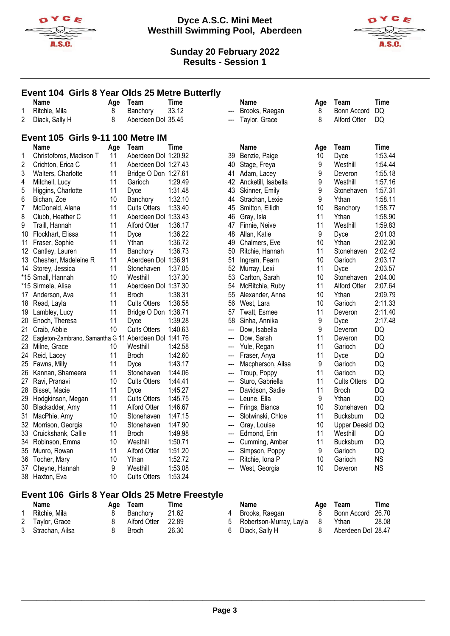



#### **Event 104 Girls 8 Year Olds 25 Metre Butterfly Name Age Team Time Name Age Team Time** 1 Ritchie Mila 8 Banchory 33.12 2 Diack, Sally H 8 Aberdeen Dol 35.45 Brooks, Raegan 8 Bonn Accord DQ --- Taylor, Grace 8 Alford Otter DQ **Event 105 Girls 9-11 100 Metre IM Name Age Team Time Name Age Team Time** 1 Christoforos, Madison T 11 Aberdeen Dol 1:20.92 11 Aberdeen Dol 1:27.43 3 Walters, Charlotte 11 Bridge O Don 1:27.61 4 Mitchell, Lucy 11 Garioch 1:29.49<br>5 Higgins Charlotte 11 Dyce 1:31.48 Higgins, Charlotte 11 Dyce 1:31.48 6 Bichan, Zoe 10 Banchory 1:32.10 7 McDonald, Alana 11 Cults Otters 1:33.40 8 Clubb, Heather C 11 Aberdeen Dol 1:33.43 9 Traill, Hannah 11 Alford Otter 1:36.17 10 Flockhart, Elissa 11 Dyce 1:36.22 11 Fraser, Sophie 11 Ythan 1:36.72 12 Cantley, Lauren 11 Banchory 1:36.73 13 Chesher, Madeleine R 11 Aberdeen Dol 1:36.91<br>14 Storey, Jessica 11 Stonehaven 1:37.05 11 Stonehaven 1:37.05<br>10 Westhill 1:37.30 \*15 Small, Hannah 10 Westhill 1:37.30 \*15 Sirmele, Alise 11 Aberdeen Dol 1:37.30 17 Anderson, Ava 11 Broch 1:38.31 18 Read, Layla 11 Cults Otters 1:38.58 19 Lambley, Lucy 11 Bridge O Don 1:38.71 20 Enoch, Theresa 11 Dyce 1:39.28 21 Craib, Abbie 10 Cults Otters 1:40.63 22 Eagleton-Zambrano, Samantha G 11 Aberdeen Dol 1:41.76 23 Milne, Grace 10 Westhill 1:42.58 24 Reid, Lacey 11 Broch 1:42.60 25 Fawns, Milly 11 Dyce 1:43.17 26 Kannan, Shameera 11 Stonehaven 1:44.06 27 Ravi, Pranavi 10 Cults Otters 1:44.41 28 Bisset, Macie 11 Dyce 1:45.27 29 Hodgkinson, Megan 11 Cults Otters 1:45.75 30 Blackadder, Amy 11 Alford Otter 1:46.67 31 MacPhie, Amy 10 Stonehaven 1:47.15 32 Morrison, Georgia 10 Stonehaven 1:47.90<br>33 Cruickshank Callie 11 Broch 1:49.98 33 Cruickshank, Callie 11 Broch<br>34 Robinson. Emma 10 Westhill 34 Robinson, Emma 10 Westhill 1:50.71 35 Munro, Rowan 11 Alford Otter 1:51.20 36 Tocher, Mary 10 Ythan 1:52.72 37 Cheyne, Hannah 9 Westhill 1:53.08<br>38 Haxton Eva 10 Cults Otters 1:53.24 38 Haxton, Eva 10 Cults Otters 1:53.24 39 Benzie, Paige 10 Dyce 1:53.44 40 Stage, Freya 9 41 Adam, Lacey 9 Deveron 1:55.18 42 Ancketill, Isabella 19 Westhill 43 Skinner, Emily 9 Stonehaven 1:57.31 44 Strachan, Lexie 9 Ythan 1:58.11 45 Smitton, Eilidh 10 Banchory 1:58.77 46 Gray, Isla 11 Ythan 1:58.90 47 Finnie, Neive 11 Westhill 1:59.83 48 Allan, Katie 9 Dyce 2:01.03 49 Chalmers, Eve 10 Ythan 2:02.30 50 Ritchie, Hannah 11 Stonehaven 2:02.42 51 Ingram, Fearn 10 Garioch 2:03.17<br>52 Murrav. Lexi 11 Dyce 2:03.57 52 Murray, Lexi 11 Dyce 53 Carlton, Sarah 10 Stonehaven 2:04.00 54 McRitchie, Ruby 11 Alford Otter 2:07.64 55 Alexander, Anna 10 Ythan 2:09.79 56 West, Lara 10 Garioch 2:11.33 57 Twatt, Esmee 11 Deveron 2:11.40 58 Sinha, Annika 9 Dyce 2:17.48 --- Dow, Isabella 9 Deveron DQ --- Dow, Sarah 11 Deveron DQ --- Yule, Regan 11 Garioch DQ Fraser, Anya 11 Dyce Macpherson, Ailsa 9 Garioch DQ --- Troup, Poppy 11 Garioch DQ --- Sturo, Gabriella 11 Cults Otters DQ --- Davidson, Sadie 11 Broch DQ Leune, Ella 9 Ythan DQ Frings, Bianca 10 Stonehaven DQ --- Slotwinski, Chloe 11 Bucksburn DQ --- Gray, Louise 10 Upper Deesid DQ<br>--- Edmond. Erin 11 Westhill DQ --- Edmond, Erin 11 Westhill DQ<br>--- Cumming Amber 11 Bucksburn DQ --- Cumming, Amber 11 --- Simpson, Poppy 9 Garioch DQ --- Ritchie, Iona P 10 Garioch NS --- West, Georgia and 10 Deveron NS

#### **Event 106 Girls 8 Year Olds 25 Metre Freestyle**

| Name              | Age Team     | Time  | Name                        | Aae | Team               | Time  |
|-------------------|--------------|-------|-----------------------------|-----|--------------------|-------|
| Ritchie, Mila     | Banchory     | 21.62 | Brooks, Raegan              |     | Bonn Accord 26.70  |       |
| 2 Taylor, Grace   | Alford Otter | 22.89 | 5 Robertson-Murray, Layla 8 |     | Ythan              | 28.08 |
| 3 Strachan, Ailsa | Broch        | 26.30 | Diack, Sally H              |     | Aberdeen Dol 28.47 |       |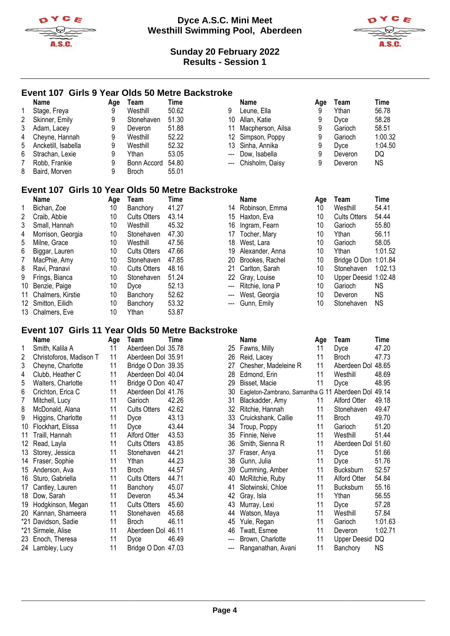



### **Event 107 Girls 9 Year Olds 50 Metre Backstroke**

|   | <b>Name</b>         | Aqe | Team              | Time  |    | Name                | Age | Team    | Time    |
|---|---------------------|-----|-------------------|-------|----|---------------------|-----|---------|---------|
|   | Stage, Freya        | 9   | Westhill          | 50.62 | 9  | Leune, Ella         | 9   | Ythan   | 56.78   |
| 2 | Skinner, Emily      | 9   | Stonehaven        | 51.30 |    | 10 Allan, Katie     | 9   | Dyce    | 58.28   |
| 3 | Adam, Lacey         | 9   | Deveron           | 51.88 | 11 | Macpherson, Ailsa   | 9   | Garioch | 58.51   |
| 4 | Cheyne, Hannah      | 9   | Westhill          | 52.22 |    | 12 Simpson, Poppy   | 9   | Garioch | 1:00.32 |
| 5 | Ancketill, Isabella | 9   | Westhill          | 52.32 |    | 13 Sinha, Annika    | 9   | Dyce    | 1:04.50 |
| 6 | Strachan, Lexie     | 9   | Ythan             | 53.05 |    | --- Dow. Isabella   | 9   | Deveron | DQ      |
|   | Robb, Frankie       | 9   | Bonn Accord 54.80 |       |    | --- Chisholm, Daisy | 9   | Deveron | NS.     |
| 8 | Baird, Morven       | 9   | <b>Broch</b>      | 55.01 |    |                     |     |         |         |

# **Event 107 Girls 10 Year Olds 50 Metre Backstroke**

|    | <b>Name</b>          | Age | Team                | Time  |                           | Name              | Age | Team                | Time           |
|----|----------------------|-----|---------------------|-------|---------------------------|-------------------|-----|---------------------|----------------|
|    | Bichan, Zoe          | 10  | Banchory            | 41.27 |                           | 14 Robinson, Emma | 10  | Westhill            | $54.4^{\circ}$ |
| 2  | Craib, Abbie         | 10  | <b>Cults Otters</b> | 43.14 |                           | 15 Haxton, Eva    | 10  | <b>Cults Otters</b> | 54.44          |
| 3  | Small, Hannah        | 10  | Westhill            | 45.32 | 16                        | Ingram, Fearn     | 10  | Garioch             | 55.80          |
| 4  | Morrison, Georgia    | 10  | Stonehaven          | 47.30 | 17                        | Tocher, Mary      | 10  | Ythan               | 56.1'          |
| 5  | Milne, Grace         | 10  | Westhill            | 47.56 | 18                        | West, Lara        | 10  | Garioch             | 58.0           |
| 6  | Biggar, Lauren       | 10  | <b>Cults Otters</b> | 47.66 | 19                        | Alexander, Anna   | 10  | Ythan               | 1:01.          |
| 7  | MacPhie, Amy         | 10  | Stonehaven          | 47.85 | 20                        | Brookes, Rachel   | 10  | Bridge O Don 1:01.  |                |
| 8  | Ravi, Pranavi        | 10  | <b>Cults Otters</b> | 48.16 | 21                        | Carlton, Sarah    | 10  | Stonehaven          | 1:02.          |
| 9  | Frings, Bianca       | 10  | Stonehaven          | 51.24 |                           | 22 Gray, Louise   | 10  | Upper Deesid 1:02.  |                |
| 10 | Benzie, Paige        | 10  | Dvce                | 52.13 | $\hspace{0.05cm} \ldots$  | Ritchie, Iona P   | 10  | Garioch             | NS.            |
|    | 11 Chalmers, Kirstie | 10  | Banchory            | 52.62 | $---$                     | West, Georgia     | 10  | Deveron             | <b>NS</b>      |
|    | 12 Smitton, Eilidh   | 10  | Banchory            | 53.32 | $\qquad \qquad -\qquad -$ | Gunn, Emily       | 10  | Stonehaven          | NS.            |
|    | 13 Chalmers, Eve     | 10  | Ythan               | 53.87 |                           |                   |     |                     |                |

|    | name            |
|----|-----------------|
| 14 | Robinson, Emma  |
| 15 | Haxton, Eva     |
| 16 | Ingram, Fearn   |
| 17 | Tocher, Mary    |
| 18 | West, Lara      |
| 19 | Alexander, Anna |
| 20 | Brookes, Rachel |
| 21 | Carlton, Sarah  |
| 22 | Gray, Louise    |
|    | Ritchie, Iona P |
|    | West, Georgia   |
|    | Gunn, Emily     |

| .   |                    |                 |                      |           |
|-----|--------------------|-----------------|----------------------|-----------|
|     | Name               | Age             | Team                 | Time      |
|     | 14 Robinson, Emma  | 10 <sup>1</sup> | Westhill             | 54.41     |
|     | 15 Haxton, Eva     | 10              | <b>Cults Otters</b>  | 54.44     |
|     | 16 Ingram, Fearn   | 10              | Garioch              | 55.80     |
|     | 17 Tocher, Mary    | 10              | Ythan                | 56.11     |
|     | 18 West, Lara      | 10              | Garioch              | 58.05     |
|     | 19 Alexander, Anna | 10              | Ythan                | 1:01.52   |
|     | 20 Brookes, Rachel | 10              | Bridge O Don 1:01.84 |           |
|     | 21 Carlton, Sarah  | 10              | Stonehaven           | 1:02.13   |
|     | 22 Gray, Louise    | 10              | Upper Deesid 1:02.48 |           |
| --- | Ritchie, Iona P    | 10              | Garioch              | ΝS        |
|     | --- West, Georgia  | 10              | Deveron              | NS.       |
|     | --- Gunn, Emily    | 10              | Stonehaven           | <b>NS</b> |

#### **Event 107 Girls 11 Year Olds 50 Metre Backstroke**

|     | Name                    | Age | Team                | Time  |    | <b>Name</b>                      | Age | Team                | <b>Time</b> |
|-----|-------------------------|-----|---------------------|-------|----|----------------------------------|-----|---------------------|-------------|
| 1   | Smith, Kalila A         | 11  | Aberdeen Dol 35.78  |       | 25 | Fawns, Milly                     | 11  | Dyce                | 47.20       |
| 2   | Christoforos, Madison T | 11  | Aberdeen Dol 35.91  |       | 26 | Reid, Lacey                      | 11  | <b>Broch</b>        | 47.73       |
| 3   | Cheyne, Charlotte       | 11  | Bridge O Don 39.35  |       | 27 | Chesher, Madeleine R             | 11  | Aberdeen Dol        | 48.65       |
| 4   | Clubb, Heather C        | 11  | Aberdeen Dol 40.04  |       | 28 | Edmond, Erin                     | 11  | Westhill            | 48.69       |
| 5   | Walters, Charlotte      | 11  | Bridge O Don 40.47  |       | 29 | Bisset, Macie                    | 11  | Dyce                | 48.95       |
| 6   | Crichton, Erica C       | 11  | Aberdeen Dol 41.76  |       | 30 | Eagleton-Zambrano, Samantha G 11 |     | Aberdeen Dol        | 49.14       |
| 7   | Mitchell, Lucy          | 11  | Garioch             | 42.26 | 31 | Blackadder, Amy                  | 11  | Alford Otter        | 49.18       |
| 8   | McDonald, Alana         | 11  | <b>Cults Otters</b> | 42.62 | 32 | Ritchie, Hannah                  | 11  | Stonehaven          | 49.47       |
| 9   | Higgins, Charlotte      | 11  | Dyce                | 43.13 | 33 | Cruickshank, Callie              | 11  | <b>Broch</b>        | 49.70       |
| 10  | Flockhart, Elissa       | 11  | Dyce                | 43.44 | 34 | Troup, Poppy                     | 11  | Garioch             | 51.20       |
| 11  | Traill, Hannah          | 11  | <b>Alford Otter</b> | 43.53 | 35 | Finnie, Neive                    | 11  | Westhill            | 51.44       |
| 12  | Read, Layla             | 11  | <b>Cults Otters</b> | 43.85 | 36 | Smith, Sienna R                  | 11  | Aberdeen Dol        | 51.60       |
| 13  | Storey, Jessica         | 11  | Stonehaven          | 44.21 | 37 | Fraser, Anya                     | 11  | Dyce                | 51.66       |
| 14  | Fraser, Sophie          | 11  | Ythan               | 44.23 | 38 | Gunn, Julia                      | 11  | Dyce                | 51.76       |
| 15  | Anderson, Ava           | 11  | Broch               | 44.57 | 39 | Cumming, Amber                   | 11  | <b>Bucksburn</b>    | 52.57       |
| 16  | Sturo, Gabriella        | 11  | <b>Cults Otters</b> | 44.71 | 40 | McRitchie, Ruby                  | 11  | <b>Alford Otter</b> | 54.84       |
| 17  | Cantley, Lauren         | 11  | Banchory            | 45.07 | 41 | Slotwinski, Chloe                | 11  | <b>Bucksburn</b>    | 55.16       |
| 18  | Dow, Sarah              | 11  | Deveron             | 45.34 | 42 | Gray, Isla                       | 11  | Ythan               | 56.55       |
| 19  | Hodgkinson, Megan       | 11  | <b>Cults Otters</b> | 45.60 | 43 | Murray, Lexi                     | 11  | Dyce                | 57.28       |
| 20  | Kannan, Shameera        | 11  | Stonehaven          | 45.68 | 44 | Watson, Maya                     | 11  | Westhill            | 57.84       |
| *21 | Davidson, Sadie         | 11  | <b>Broch</b>        | 46.11 | 45 | Yule, Regan                      | 11  | Garioch             | 1:01.63     |
| *21 | Sirmele, Alise          | 11  | Aberdeen Dol 46.11  |       | 46 | Twatt, Esmee                     | 11  | Deveron             | 1:02.71     |
| 23  | Enoch, Theresa          | 11  | Dyce                | 46.49 |    | Brown, Charlotte                 | 11  | <b>Upper Deesid</b> | DQ          |
|     | 24 Lambley, Lucy        | 11  | Bridge O Don 47.03  |       |    | Ranganathan, Avani               | 11  | Banchory            | <b>NS</b>   |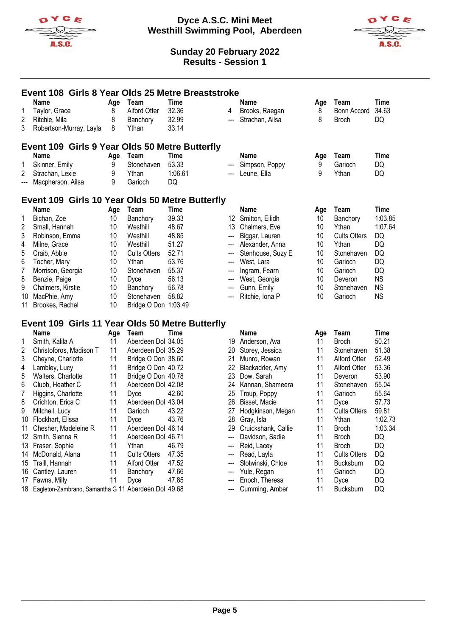



|     | Event 108 Girls 8 Year Olds 25 Metre Breaststroke             |          |                      |             |                            |                     |          |                     |             |  |  |  |  |
|-----|---------------------------------------------------------------|----------|----------------------|-------------|----------------------------|---------------------|----------|---------------------|-------------|--|--|--|--|
|     | <b>Name</b>                                                   | Age      | Team                 | <b>Time</b> |                            | <b>Name</b>         | Age      | Team                | <b>Time</b> |  |  |  |  |
| 1   | Taylor, Grace                                                 | 8        | <b>Alford Otter</b>  | 32.36       | 4                          | Brooks, Raegan      | 8        | <b>Bonn Accord</b>  | 34.63       |  |  |  |  |
| 2   | Ritchie, Mila                                                 | 8        | Banchory             | 32.99       | $\qquad \qquad \text{---}$ | Strachan, Ailsa     | 8        | <b>Broch</b>        | DQ          |  |  |  |  |
| 3   | Robertson-Murray, Layla                                       | 8        | Ythan                | 33.14       |                            |                     |          |                     |             |  |  |  |  |
|     |                                                               |          |                      |             |                            |                     |          |                     |             |  |  |  |  |
|     | Event 109 Girls 9 Year Olds 50 Metre Butterfly<br><b>Name</b> |          | Team                 | <b>Time</b> |                            | Name                |          | Team                | <b>Time</b> |  |  |  |  |
| 1   | Skinner, Emily                                                | Age<br>9 | Stonehaven           | 53.33       |                            | Simpson, Poppy      | Age<br>9 | Garioch             | DQ          |  |  |  |  |
| 2   | Strachan, Lexie                                               | 9        | Ythan                | 1:06.61     |                            | Leune, Ella         | 9        | Ythan               | DQ          |  |  |  |  |
| --- | Macpherson, Ailsa                                             | 9        | Garioch              | DQ          |                            |                     |          |                     |             |  |  |  |  |
|     |                                                               |          |                      |             |                            |                     |          |                     |             |  |  |  |  |
|     | Event 109 Girls 10 Year Olds 50 Metre Butterfly               |          |                      |             |                            |                     |          |                     |             |  |  |  |  |
|     | <b>Name</b>                                                   | Age      | Team                 | <b>Time</b> |                            | Name                | Age      | Team                | <b>Time</b> |  |  |  |  |
| 1   | Bichan, Zoe                                                   | 10       | Banchory             | 39.33       | 12 <sup>12</sup>           | Smitton, Eilidh     | 10       | Banchory            | 1:03.85     |  |  |  |  |
| 2   | Small, Hannah                                                 | 10       | Westhill             | 48.67       | 13                         | Chalmers, Eve       | 10       | Ythan               | 1:07.64     |  |  |  |  |
| 3   | Robinson, Emma                                                | 10       | Westhill             | 48.85       | ---                        | Biggar, Lauren      | 10       | <b>Cults Otters</b> | DQ          |  |  |  |  |
| 4   | Milne, Grace                                                  | 10       | Westhill             | 51.27       |                            | Alexander, Anna     | 10       | Ythan               | DQ          |  |  |  |  |
| 5   | Craib, Abbie                                                  | 10       | <b>Cults Otters</b>  | 52.71       |                            | Stenhouse, Suzy E   | 10       | Stonehaven          | <b>DQ</b>   |  |  |  |  |
| 6   | Tocher, Mary                                                  | 10       | Ythan                | 53.76       |                            | West, Lara          | 10       | Garioch             | DQ          |  |  |  |  |
| 7   | Morrison, Georgia                                             | 10       | Stonehaven           | 55.37       | $\overline{\phantom{a}}$   | Ingram, Fearn       | 10       | Garioch             | DQ          |  |  |  |  |
| 8   | Benzie, Paige                                                 | 10       | Dyce                 | 56.13       | ---                        | West, Georgia       | 10       | Deveron             | <b>NS</b>   |  |  |  |  |
| 9   | Chalmers, Kirstie                                             | 10       | Banchory             | 56.78       |                            | Gunn, Emily         | 10       | Stonehaven          | <b>NS</b>   |  |  |  |  |
| 10  | MacPhie, Amy                                                  | 10       | Stonehaven           | 58.82       |                            | Ritchie, Iona P     | 10       | Garioch             | <b>NS</b>   |  |  |  |  |
| 11  | Brookes, Rachel                                               | 10       | Bridge O Don 1:03.49 |             |                            |                     |          |                     |             |  |  |  |  |
|     | Event 109 Girls 11 Year Olds 50 Metre Butterfly               |          |                      |             |                            |                     |          |                     |             |  |  |  |  |
|     | <b>Name</b>                                                   | Age      | Team                 | <b>Time</b> |                            | <b>Name</b>         | Age      | Team                | <b>Time</b> |  |  |  |  |
| 1   | Smith, Kalila A                                               | 11       | Aberdeen Dol 34.05   |             | 19                         | Anderson, Ava       | 11       | <b>Broch</b>        | 50.21       |  |  |  |  |
| 2   | Christoforos, Madison T                                       | 11       | Aberdeen Dol 35.29   |             | 20                         | Storey, Jessica     | 11       | Stonehaven          | 51.38       |  |  |  |  |
| 3   | Cheyne, Charlotte                                             | 11       | Bridge O Don 38.60   |             | 21                         | Munro, Rowan        | 11       | <b>Alford Otter</b> | 52.49       |  |  |  |  |
| 4   | Lambley, Lucy                                                 | 11       | Bridge O Don 40.72   |             | 22                         | Blackadder, Amy     | 11       | <b>Alford Otter</b> | 53.36       |  |  |  |  |
| 5   | Walters, Charlotte                                            | 11       | Bridge O Don 40.78   |             | 23                         | Dow, Sarah          | 11       | Deveron             | 53.90       |  |  |  |  |
| 6   | Clubb, Heather C                                              | 11       | Aberdeen Dol 42.08   |             | 24                         | Kannan, Shameera    | 11       | Stonehaven          | 55.04       |  |  |  |  |
| 7   | Higgins, Charlotte                                            | 11       | Dyce                 | 42.60       | 25                         | Troup, Poppy        | 11       | Garioch             | 55.64       |  |  |  |  |
| 8   | Crichton, Erica C                                             | 11       | Aberdeen Dol 43.04   |             | 26                         | Bisset, Macie       | 11       | Dyce                | 57.73       |  |  |  |  |
| 9   | Mitchell, Lucy                                                | 11       | Garioch              | 43.22       | 27                         | Hodgkinson, Megan   | 11       | <b>Cults Otters</b> | 59.81       |  |  |  |  |
| 10  | Flockhart, Elissa                                             | 11       |                      | 43.76       | 28                         | Gray, Isla          | 11       | Ythan               | 1:02.73     |  |  |  |  |
|     |                                                               |          | Dyce                 |             |                            |                     |          |                     |             |  |  |  |  |
| 11  | Chesher, Madeleine R                                          | 11       | Aberdeen Dol 46.14   |             | 29                         | Cruickshank, Callie | 11       | <b>Broch</b>        | 1:03.34     |  |  |  |  |
| 12  | Smith, Sienna R                                               | 11       | Aberdeen Dol 46.71   |             | ---                        | Davidson, Sadie     | 11       | <b>Broch</b>        | DQ          |  |  |  |  |
| 13  | Fraser, Sophie                                                | 11       | Ythan                | 46.79       | ---                        | Reid, Lacey         | 11       | <b>Broch</b>        | DQ          |  |  |  |  |
| 14  | McDonald, Alana                                               | 11       | <b>Cults Otters</b>  | 47.35       | ---                        | Read, Layla         | 11       | <b>Cults Otters</b> | DQ          |  |  |  |  |
| 15  | Traill, Hannah                                                | 11       | <b>Alford Otter</b>  | 47.52       | ---                        | Slotwinski, Chloe   | 11       | Bucksburn           | DQ          |  |  |  |  |
| 16  | Cantley, Lauren                                               | 11       | Banchory             | 47.66       | ---                        | Yule, Regan         | 11       | Garioch             | DQ          |  |  |  |  |
| 17  | Fawns, Milly                                                  | 11       | Dyce                 | 47.85       |                            | Enoch, Theresa      | 11       | Dyce                | DQ          |  |  |  |  |
| 18  | Eagleton-Zambrano, Samantha G 11 Aberdeen Dol 49.68           |          |                      |             |                            | Cumming, Amber      | 11       | Bucksburn           | DQ          |  |  |  |  |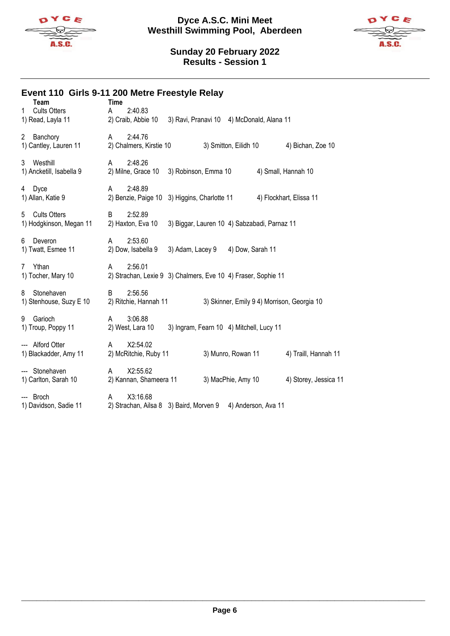



# **Event 110 Girls 9-11 200 Metre Freestyle Relay**

| Team<br><b>Cults Otters</b><br>1<br>1) Read, Layla 11 | <b>Time</b><br>2:40.83<br>A<br>2) Craib, Abbie 10<br>3) Ravi, Pranavi 10 4) McDonald, Alana 11   |
|-------------------------------------------------------|--------------------------------------------------------------------------------------------------|
| Banchory<br>$\mathbf{2}$<br>1) Cantley, Lauren 11     | 2:44.76<br>$\mathsf{A}$<br>2) Chalmers, Kirstie 10<br>3) Smitton, Eilidh 10<br>4) Bichan, Zoe 10 |
| Westhill<br>3<br>1) Ancketill, Isabella 9             | 2:48.26<br>A<br>3) Robinson, Emma 10<br>4) Small, Hannah 10<br>2) Milne, Grace 10                |
| Dyce<br>4<br>1) Allan, Katie 9                        | 2:48.89<br>A<br>2) Benzie, Paige 10<br>3) Higgins, Charlotte 11<br>4) Flockhart, Elissa 11       |
| <b>Cults Otters</b><br>5<br>1) Hodgkinson, Megan 11   | 2:52.89<br>B<br>2) Haxton, Eva 10<br>3) Biggar, Lauren 10 4) Sabzabadi, Parnaz 11                |
| Deveron<br>6<br>1) Twatt, Esmee 11                    | 2:53.60<br>A<br>2) Dow, Isabella 9<br>3) Adam, Lacey 9<br>4) Dow, Sarah 11                       |
| Ythan<br>$\overline{7}$<br>1) Tocher, Mary 10         | 2:56.01<br>A<br>2) Strachan, Lexie 9 3) Chalmers, Eve 10 4) Fraser, Sophie 11                    |
| Stonehaven<br>8<br>1) Stenhouse, Suzy E 10            | 2:56.56<br>B<br>3) Skinner, Emily 9 4) Morrison, Georgia 10<br>2) Ritchie, Hannah 11             |
| 9<br>Garioch<br>1) Troup, Poppy 11                    | 3:06.88<br>A<br>2) West, Lara 10<br>3) Ingram, Fearn 10 4) Mitchell, Lucy 11                     |
| --- Alford Otter<br>1) Blackadder, Amy 11             | X2:54.02<br>A<br>2) McRitchie, Ruby 11<br>3) Munro, Rowan 11<br>4) Traill, Hannah 11             |
| --- Stonehaven<br>1) Carlton, Sarah 10                | X2:55.62<br>A<br>3) MacPhie, Amy 10<br>4) Storey, Jessica 11<br>2) Kannan, Shameera 11           |
| --- Broch<br>1) Davidson, Sadie 11                    | X3:16.68<br>A<br>2) Strachan, Ailsa 8 3) Baird, Morven 9<br>4) Anderson, Ava 11                  |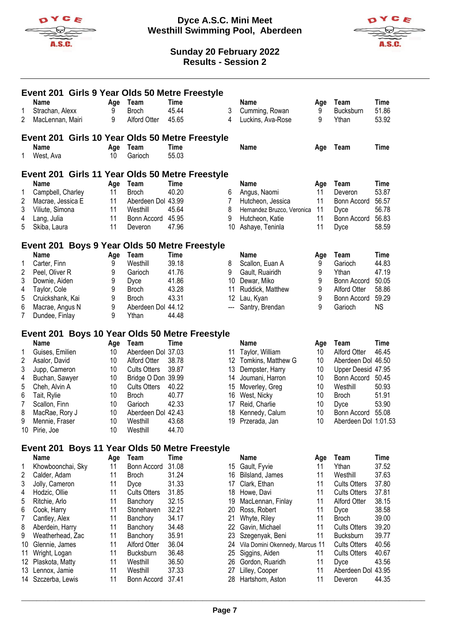



|        |                                 |          | Event 201 Girls 9 Year Olds 50 Metre Freestyle |                |                                                 |          |                                 |          |                           |                |
|--------|---------------------------------|----------|------------------------------------------------|----------------|-------------------------------------------------|----------|---------------------------------|----------|---------------------------|----------------|
|        | <b>Name</b>                     |          | Age Team                                       | Time           |                                                 |          | <b>Name</b>                     | Age      | Team                      | <b>Time</b>    |
| 1      | Strachan, Alexx                 | 9        | <b>Broch</b>                                   | 45.44          |                                                 | 3        | Cumming, Rowan                  | 9        | Bucksburn                 | 51.86          |
| 2      | MacLennan, Mairi                | 9        | Alford Otter                                   | 45.65          |                                                 | 4        | Luckins, Ava-Rose               | 9        | Ythan                     | 53.92          |
|        |                                 |          |                                                |                | Event 201 Girls 10 Year Olds 50 Metre Freestyle |          |                                 |          |                           |                |
|        | <b>Name</b>                     | Age      | Team                                           | Time           |                                                 |          | <b>Name</b>                     | Age      | Team                      | Time           |
| 1.     | West, Ava                       | 10       | Garioch                                        | 55.03          |                                                 |          |                                 |          |                           |                |
|        |                                 |          |                                                |                | Event 201 Girls 11 Year Olds 50 Metre Freestyle |          |                                 |          |                           |                |
|        | <b>Name</b>                     | Age      | Team                                           | Time           |                                                 |          | <b>Name</b>                     | Age      | Team                      | <b>Time</b>    |
| 1      | Campbell, Charley               | 11       | <b>Broch</b>                                   | 40.20          |                                                 | 6        | Angus, Naomi                    | 11       | Deveron                   | 53.87          |
| 2      | Macrae, Jessica E               | 11       | Aberdeen Dol 43.99                             |                |                                                 | 7        | Hutcheon, Jessica               | 11       | Bonn Accord               | 56.57          |
| 3      | Viliute, Simona                 | 11       | Westhill                                       | 45.64          |                                                 | 8        | Hernandez Bruzco, Veronica      | 11       | Dyce                      | 56.78          |
| 4      | Lang, Julia                     | 11       | Bonn Accord                                    | 45.95          |                                                 | 9        | Hutcheon, Katie                 | 11       | Bonn Accord               | 56.83          |
| 5      | Skiba, Laura                    | 11       | Deveron                                        | 47.96          |                                                 | 10       | Ashaye, Teninla                 | 11       | Dyce                      | 58.59          |
|        |                                 |          | Event 201 Boys 9 Year Olds 50 Metre Freestyle  |                |                                                 |          |                                 |          |                           |                |
|        | Name                            | Age      | Team                                           | Time           |                                                 |          | <b>Name</b>                     | Age      | Team                      | <b>Time</b>    |
| 1      | Carter, Finn                    | 9        | Westhill                                       | 39.18          |                                                 | 8        | Scallon, Euan A                 | 9        | Garioch                   | 44.83          |
| 2      | Peel, Oliver R                  | 9        | Garioch                                        | 41.76          |                                                 | 9        | Gault, Ruairidh                 | 9        | Ythan                     | 47.19          |
| 3      | Downie, Aiden                   | 9        | Dyce                                           | 41.86          |                                                 | 10       | Dewar, Miko                     | 9        | Bonn Accord               | 50.05          |
| 4      | Taylor, Cole                    | 9        | <b>Broch</b>                                   | 43.28          |                                                 | 11       | Ruddick, Matthew                | 9        | <b>Alford Otter</b>       | 58.86          |
| 5      | Cruickshank, Kai                | 9        | <b>Broch</b>                                   | 43.31          |                                                 | 12       | Lau, Kyan                       | 9        | Bonn Accord               | 59.29          |
| 6      | Macrae, Angus N                 | 9        | Aberdeen Dol 44.12                             |                |                                                 |          | Santry, Brendan                 | 9        | Garioch                   | <b>NS</b>      |
| 7      | Dundee, Finlay                  | 9        | Ythan                                          | 44.48          |                                                 |          |                                 |          |                           |                |
|        |                                 |          |                                                |                | Event 201 Boys 10 Year Olds 50 Metre Freestyle  |          |                                 |          |                           |                |
|        | <b>Name</b>                     | Age      | Team                                           | Time           |                                                 |          | Name                            | Age      | Team                      | <b>Time</b>    |
| 1      | Guises, Emilien                 | 10       | Aberdeen Dol 37.03                             |                |                                                 | 11       | Taylor, William                 | 10       | Alford Otter              | 46.45          |
| 2      | Asalor, David                   | 10       | Alford Otter                                   | 38.78          |                                                 |          | 12 Tomkins, Matthew G           | 10       | Aberdeen Dol 46.50        |                |
| 3      | Jupp, Cameron                   | 10       | <b>Cults Otters</b>                            | 39.87          |                                                 | 13       | Dempster, Harry                 | 10       | Upper Deesid 47.95        |                |
| 4      | Buchan, Sawyer                  | 10       | Bridge O Don 39.99                             |                |                                                 | 14       | Joumani, Harron                 | 10       | Bonn Accord               | 50.45          |
| 5      | Cheh, Alvin A                   | 10       | <b>Cults Otters</b>                            | 40.22          |                                                 | 15       | Moverley, Greg                  | 10       | Westhill                  | 50.93          |
| 6      | Tait, Rylie                     | 10<br>10 | <b>Broch</b><br>Garioch                        | 40.77<br>42.33 |                                                 | 16       | West, Nicky<br>Reid, Charlie    | 10<br>10 | <b>Broch</b>              | 51.91<br>53.90 |
| 7<br>8 | Scallon, Finn<br>MacRae, Rory J | 10       | Aberdeen Dol 42.43                             |                |                                                 | 17<br>18 | Kennedy, Calum                  | 10       | Dyce<br>Bonn Accord 55.08 |                |
| 9      | Mennie, Fraser                  | 10       | Westhill                                       | 43.68          |                                                 | 19       | Przerada, Jan                   | 10       | Aberdeen Dol 1:01.53      |                |
|        | 10 Pirie, Joe                   | 10       | Westhill                                       | 44.70          |                                                 |          |                                 |          |                           |                |
|        |                                 |          |                                                |                |                                                 |          |                                 |          |                           |                |
|        | Name                            | Age      | Team                                           | Time           | Event 201 Boys 11 Year Olds 50 Metre Freestyle  |          | Name                            | Age      | Team                      | <b>Time</b>    |
| 1      | Khowboonchai, Sky               | 11       | Bonn Accord                                    | 31.08          |                                                 | 15       | Gault, Fyvie                    | 11       | Ythan                     | 37.52          |
| 2      | Calder, Adam                    | 11       | <b>Broch</b>                                   | 31.24          |                                                 | 16       | Bilsland, James                 | 11       | Westhill                  | 37.63          |
| 3      | Jolly, Cameron                  | 11       | Dyce                                           | 31.33          |                                                 | 17       | Clark, Ethan                    | 11       | <b>Cults Otters</b>       | 37.80          |
| 4      | Hodzic, Ollie                   | 11       | <b>Cults Otters</b>                            | 31.85          |                                                 | 18       | Howe, Davi                      | 11       | <b>Cults Otters</b>       | 37.81          |
| 5      | Ritchie, Arlo                   | 11       | Banchory                                       | 32.15          |                                                 | 19       | MacLennan, Finlay               | 11       | Alford Otter              | 38.15          |
| 6      | Cook, Harry                     | 11       | Stonehaven                                     | 32.21          |                                                 | 20       | Ross, Robert                    | 11       | Dyce                      | 38.58          |
| 7      | Cantley, Alex                   | 11       | Banchory                                       | 34.17          |                                                 | 21       | Whyte, Riley                    | 11       | <b>Broch</b>              | 39.00          |
| 8      | Aberdein, Harry                 | 11       | Banchory                                       | 34.48          |                                                 | 22       | Gavin, Michael                  | 11       | <b>Cults Otters</b>       | 39.20          |
| 9      | Weatherhead, Zac                | 11       | Banchory                                       | 35.91          |                                                 | 23       | Szegenyak, Beni                 | 11       | Bucksburn                 | 39.77          |
| 10     | Glennie, James                  | 11       | Alford Otter                                   | 36.04          |                                                 | 24       | Vila Domini Okennedy, Marcus 11 |          | <b>Cults Otters</b>       | 40.56          |
| 11     | Wright, Logan                   | 11       | <b>Bucksburn</b>                               | 36.48          |                                                 | 25       | Siggins, Aiden                  | 11       | <b>Cults Otters</b>       | 40.67          |
| 12     | Plaskota, Matty                 | 11       | Westhill                                       | 36.50          |                                                 | 26       | Gordon, Ruaridh                 | 11       | Dyce                      | 43.56          |
| 13     | Lennox, Jamie                   | 11       | Westhill                                       | 37.33          |                                                 | 27       | Lilley, Cooper                  | 11       | Aberdeen Dol 43.95        |                |
| 14     | Szczerba, Lewis                 | 11       | Bonn Accord                                    | 37.41          |                                                 | 28       | Hartshom, Aston                 | 11       | Deveron                   | 44.35          |
|        |                                 |          |                                                |                |                                                 |          |                                 |          |                           |                |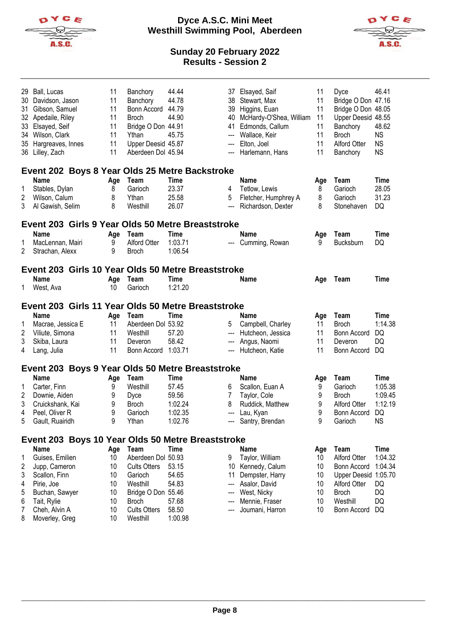

**Dyce A.S.C. Mini Meet Westhill Swimming Pool, Aberdeen**



| 29<br>30<br>31<br>33<br>35 | Ball, Lucas<br>Davidson, Jason<br>Gibson, Samuel<br>32 Apedaile, Riley<br>Elsayed, Seif<br>34 Wilson, Clark<br>Hargreaves, Innes<br>36 Lilley, Zach | 11<br>11<br>11<br>11<br>11<br>11<br>11<br>11 | Banchory<br>Banchory<br>Bonn Accord<br><b>Broch</b><br>Bridge O Don 44.91<br>Ythan<br>Upper Deesid 45.87<br>Aberdeen Dol 45.94 | 44.44<br>44.78<br>44.79<br>44.90<br>45.75 | 38<br>39<br>40<br>41<br>$\overline{\phantom{a}}$<br>$\hspace{0.05cm} \ldots$<br>--- | 37 Elsayed, Saif<br>Stewart, Max<br>Higgins, Euan<br>McHardy-O'Shea, William<br>Edmonds, Callum<br>Wallace, Keir<br>Elton, Joel<br>Harlemann, Hans | 11<br>11<br>11<br>11<br>11<br>11<br>11<br>11 | Dyce<br>Bridge O Don 47.16<br>Bridge O Don 48.05<br>Upper Deesid 48.55<br>Banchory<br><b>Broch</b><br><b>Alford Otter</b><br>Banchory | 46.41<br>48.62<br><b>NS</b><br><b>NS</b><br><b>NS</b> |  |  |
|----------------------------|-----------------------------------------------------------------------------------------------------------------------------------------------------|----------------------------------------------|--------------------------------------------------------------------------------------------------------------------------------|-------------------------------------------|-------------------------------------------------------------------------------------|----------------------------------------------------------------------------------------------------------------------------------------------------|----------------------------------------------|---------------------------------------------------------------------------------------------------------------------------------------|-------------------------------------------------------|--|--|
|                            | Event 202 Boys 8 Year Olds 25 Metre Backstroke                                                                                                      |                                              |                                                                                                                                |                                           |                                                                                     |                                                                                                                                                    |                                              |                                                                                                                                       |                                                       |  |  |
|                            | <b>Name</b>                                                                                                                                         | Age                                          | Team                                                                                                                           | Time                                      |                                                                                     | <b>Name</b>                                                                                                                                        | Age                                          | Team                                                                                                                                  | Time                                                  |  |  |
| 1                          | Stables, Dylan                                                                                                                                      | 8                                            | Garioch                                                                                                                        | 23.37                                     | 4                                                                                   | Tetlow, Lewis                                                                                                                                      | 8                                            | Garioch                                                                                                                               | 28.05                                                 |  |  |
| 2                          | Wilson, Calum                                                                                                                                       | 8                                            | Ythan                                                                                                                          | 25.58                                     | 5                                                                                   | Fletcher, Humphrey A                                                                                                                               | 8                                            | Garioch                                                                                                                               | 31.23                                                 |  |  |
| 3                          | Al Gawish, Selim                                                                                                                                    | 8                                            | Westhill                                                                                                                       | 26.07                                     | $\overline{\phantom{a}}$                                                            | Richardson, Dexter                                                                                                                                 | 8                                            | Stonehaven                                                                                                                            | DQ                                                    |  |  |
|                            | Event 203 Girls 9 Year Olds 50 Metre Breaststroke                                                                                                   |                                              |                                                                                                                                |                                           |                                                                                     |                                                                                                                                                    |                                              |                                                                                                                                       |                                                       |  |  |
|                            | <b>Name</b>                                                                                                                                         | Age                                          | Team                                                                                                                           | Time                                      |                                                                                     | <b>Name</b>                                                                                                                                        | Age                                          | Team                                                                                                                                  | Time                                                  |  |  |
| 1                          | MacLennan, Mairi                                                                                                                                    | 9                                            | Alford Otter                                                                                                                   | 1:03.71                                   |                                                                                     | --- Cumming, Rowan                                                                                                                                 | 9                                            | Bucksburn                                                                                                                             | DQ                                                    |  |  |
| 2                          | Strachan, Alexx                                                                                                                                     | 9                                            | <b>Broch</b>                                                                                                                   | 1:06.54                                   |                                                                                     |                                                                                                                                                    |                                              |                                                                                                                                       |                                                       |  |  |
|                            | Event 203 Girls 10 Year Olds 50 Metre Breaststroke                                                                                                  |                                              |                                                                                                                                |                                           |                                                                                     |                                                                                                                                                    |                                              |                                                                                                                                       |                                                       |  |  |
|                            | <b>Name</b>                                                                                                                                         | Age                                          | Team                                                                                                                           | Time                                      |                                                                                     | <b>Name</b>                                                                                                                                        | Age                                          | Team                                                                                                                                  | <b>Time</b>                                           |  |  |
| 1.                         | West, Ava                                                                                                                                           | 10                                           | Garioch                                                                                                                        | 1:21.20                                   |                                                                                     |                                                                                                                                                    |                                              |                                                                                                                                       |                                                       |  |  |
|                            |                                                                                                                                                     |                                              |                                                                                                                                |                                           |                                                                                     |                                                                                                                                                    |                                              |                                                                                                                                       |                                                       |  |  |
|                            | Event 203 Girls 11 Year Olds 50 Metre Breaststroke                                                                                                  |                                              |                                                                                                                                |                                           |                                                                                     |                                                                                                                                                    |                                              |                                                                                                                                       |                                                       |  |  |
|                            | <b>Name</b>                                                                                                                                         | Age                                          | Team                                                                                                                           | <b>Time</b>                               |                                                                                     | Name                                                                                                                                               | Age                                          | Team                                                                                                                                  | Time                                                  |  |  |
|                            |                                                                                                                                                     |                                              |                                                                                                                                |                                           |                                                                                     |                                                                                                                                                    |                                              |                                                                                                                                       |                                                       |  |  |
| 1                          | Macrae, Jessica E                                                                                                                                   | 11                                           | Aberdeen Dol 53.92                                                                                                             |                                           | 5                                                                                   | Campbell, Charley                                                                                                                                  | 11                                           | <b>Broch</b>                                                                                                                          | 1:14.38                                               |  |  |
| 2                          | Viliute, Simona                                                                                                                                     | 11                                           | Westhill                                                                                                                       | 57.20                                     | $\hspace{0.05cm} \ldots$                                                            | Hutcheon, Jessica                                                                                                                                  | 11                                           | Bonn Accord                                                                                                                           | DQ                                                    |  |  |
| 3                          | Skiba, Laura                                                                                                                                        | 11                                           | Deveron                                                                                                                        | 58.42                                     | $\overline{\phantom{a}}$                                                            | Angus, Naomi                                                                                                                                       | 11                                           | Deveron                                                                                                                               | DQ                                                    |  |  |
| 4                          | Lang, Julia                                                                                                                                         | 11                                           | Bonn Accord 1:03.71                                                                                                            |                                           | ---                                                                                 | Hutcheon, Katie                                                                                                                                    | 11                                           | Bonn Accord                                                                                                                           | DQ                                                    |  |  |
|                            |                                                                                                                                                     |                                              |                                                                                                                                |                                           |                                                                                     |                                                                                                                                                    |                                              |                                                                                                                                       |                                                       |  |  |
|                            | Event 203 Boys 9 Year Olds 50 Metre Breaststroke<br><b>Name</b>                                                                                     | Age                                          | Team                                                                                                                           | Time                                      |                                                                                     | Name                                                                                                                                               | Age                                          | Team                                                                                                                                  | Time                                                  |  |  |
| 1                          | Carter, Finn                                                                                                                                        | 9                                            | Westhill                                                                                                                       | 57.45                                     | 6                                                                                   | Scallon, Euan A                                                                                                                                    | 9                                            | Garioch                                                                                                                               | 1:05.38                                               |  |  |
| 2                          | Downie, Aiden                                                                                                                                       | 9                                            | Dyce                                                                                                                           | 59.56                                     | 7                                                                                   | Taylor, Cole                                                                                                                                       | 9                                            | <b>Broch</b>                                                                                                                          | 1:09.45                                               |  |  |
| 3                          | Cruickshank, Kai                                                                                                                                    | 9                                            | <b>Broch</b>                                                                                                                   | 1:02.24                                   | 8                                                                                   | Ruddick, Matthew                                                                                                                                   | 9                                            | <b>Alford Otter</b>                                                                                                                   | 1:12.19                                               |  |  |
| 4                          | Peel, Oliver R                                                                                                                                      | 9                                            | Garioch                                                                                                                        | 1:02.35                                   | $\hspace{0.05cm} \ldots$                                                            | Lau, Kyan                                                                                                                                          | 9                                            | Bonn Accord                                                                                                                           | DQ                                                    |  |  |
| 5                          | Gault, Ruairidh                                                                                                                                     | 9                                            | Ythan                                                                                                                          | 1:02.76                                   |                                                                                     | Santry, Brendan                                                                                                                                    | 9                                            | Garioch                                                                                                                               | <b>NS</b>                                             |  |  |
|                            |                                                                                                                                                     |                                              |                                                                                                                                |                                           |                                                                                     |                                                                                                                                                    |                                              |                                                                                                                                       |                                                       |  |  |
|                            | Event 203 Boys 10 Year Olds 50 Metre Breaststroke<br><b>Name</b>                                                                                    |                                              |                                                                                                                                |                                           |                                                                                     | <b>Name</b>                                                                                                                                        |                                              |                                                                                                                                       |                                                       |  |  |
| 1                          | Guises, Emilien                                                                                                                                     | Age<br>10                                    | Team<br>Aberdeen Dol 50.93                                                                                                     | Time                                      | 9                                                                                   |                                                                                                                                                    | Age<br>10                                    | Team<br><b>Alford Otter</b>                                                                                                           | <b>Time</b><br>1:04.32                                |  |  |
|                            |                                                                                                                                                     | 10                                           | <b>Cults Otters</b>                                                                                                            | 53.15                                     |                                                                                     | Taylor, William                                                                                                                                    | 10                                           | Bonn Accord                                                                                                                           | 1:04.34                                               |  |  |
| 2<br>3                     | Jupp, Cameron<br>Scallon, Finn                                                                                                                      | 10                                           | Garioch                                                                                                                        | 54.65                                     | 11                                                                                  | 10 Kennedy, Calum                                                                                                                                  | 10                                           |                                                                                                                                       |                                                       |  |  |
| 4                          |                                                                                                                                                     | 10                                           | Westhill                                                                                                                       | 54.83                                     | ---                                                                                 | Dempster, Harry<br>Asalor, David                                                                                                                   | 10                                           | Upper Deesid 1:05.70<br>Alford Otter                                                                                                  | DQ                                                    |  |  |
| 5                          | Pirie, Joe<br>Buchan, Sawyer                                                                                                                        | 10                                           | Bridge O Don 55.46                                                                                                             |                                           | ---                                                                                 | West, Nicky                                                                                                                                        | 10                                           | <b>Broch</b>                                                                                                                          | DQ                                                    |  |  |
| 6                          |                                                                                                                                                     | 10                                           | <b>Broch</b>                                                                                                                   | 57.68                                     |                                                                                     | Mennie, Fraser                                                                                                                                     | 10                                           | Westhill                                                                                                                              | DQ                                                    |  |  |
| 7                          | Tait, Rylie<br>Cheh, Alvin A                                                                                                                        | 10                                           | <b>Cults Otters</b>                                                                                                            | 58.50                                     |                                                                                     | Joumani, Harron                                                                                                                                    | 10                                           | Bonn Accord                                                                                                                           | DQ                                                    |  |  |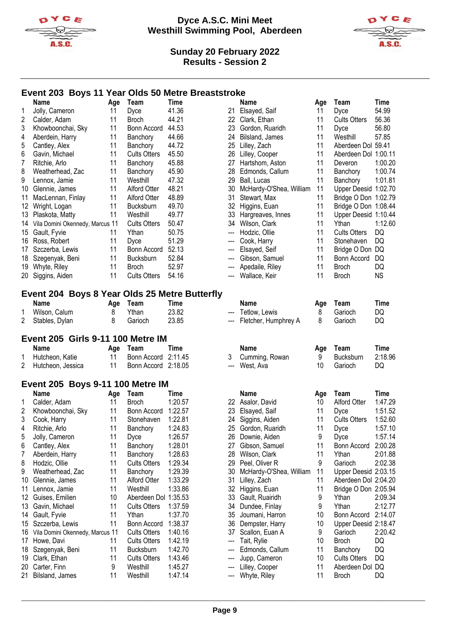



### **Event 203 Boys 11 Year Olds 50 Metre Breaststroke**

|    | Name                            | Age | Team                | Time  |
|----|---------------------------------|-----|---------------------|-------|
| 1  | Jolly, Cameron                  | 11  | Dyce                | 41.36 |
| 2  | Calder, Adam                    | 11  | Broch               | 44.21 |
| 3  | Khowboonchai, Sky               | 11  | Bonn Accord         | 44.53 |
| 4  | Aberdein, Harry                 | 11  | Banchory            | 44.66 |
| 5  | Cantley, Alex                   | 11  | Banchory            | 44.72 |
| 6  | Gavin, Michael                  | 11  | <b>Cults Otters</b> | 45.50 |
| 7  | Ritchie, Arlo                   | 11  | Banchory            | 45.88 |
| 8  | Weatherhead, Zac                | 11  | Banchory            | 45.90 |
| 9  | Lennox, Jamie                   | 11  | Westhill            | 47.32 |
| 10 | Glennie, James                  | 11  | <b>Alford Otter</b> | 48.21 |
| 11 | MacLennan, Finlay               | 11  | Alford Otter        | 48.89 |
| 12 | Wright, Logan                   | 11  | <b>Bucksburn</b>    | 49.70 |
| 13 | Plaskota, Matty                 | 11  | Westhill            | 49.77 |
| 14 | Vila Domini Okennedy, Marcus 11 |     | <b>Cults Otters</b> | 50.47 |
| 15 | Gault, Fyvie                    | 11  | Ythan               | 50.75 |
| 16 | Ross, Robert                    | 11  | Dyce                | 51.29 |
| 17 | Szczerba, Lewis                 | 11  | Bonn Accord         | 52.13 |
| 18 | Szegenyak, Beni                 | 11  | Bucksburn           | 52.84 |
| 19 | Whyte, Riley                    | 11  | <b>Broch</b>        | 52.97 |
| 20 | Siggins, Aiden                  | 11  | <b>Cults Otters</b> | 54.16 |

# **Event 204 Boys 8 Year Olds 25 Metre Butterfly**

| Name             | Age Team | Time  |  |
|------------------|----------|-------|--|
| 1 Wilson, Calum  | Ythan    | 23.82 |  |
| 2 Stables, Dylan | Garioch  | 23.85 |  |

#### **Event 205 Girls 9-11 100 Metre IM**

| Name                | Age Team            | Time |
|---------------------|---------------------|------|
| 1 Hutcheon, Katie   | Bonn Accord 2:11.45 |      |
| 2 Hutcheon, Jessica | Bonn Accord 2:18.05 |      |

#### **Event 205 Boys 9-11 100 Metre IM**

|    | <b>Name</b>                     | Age | Team                | Time    |
|----|---------------------------------|-----|---------------------|---------|
| 1  | Calder, Adam                    | 11  | <b>Broch</b>        | 1:20.57 |
| 2  | Khowboonchai, Sky               | 11  | Bonn Accord         | 1:22.57 |
| 3  | Cook, Harry                     | 11  | Stonehaven          | 1:22.81 |
| 4  | Ritchie, Arlo                   | 11  | Banchory            | 1:24.83 |
| 5  | Jolly, Cameron                  | 11  | Dyce                | 1:26.57 |
| 6  | Cantley, Alex                   | 11  | Banchory            | 1:28.01 |
| 7  | Aberdein, Harry                 | 11  | Banchory            | 1:28.63 |
| 8  | Hodzic, Ollie                   | 11  | <b>Cults Otters</b> | 1:29.34 |
| 9  | Weatherhead, Zac                | 11  | Banchory            | 1:29.39 |
| 10 | Glennie, James                  | 11  | Alford Otter        | 1:33.29 |
| 11 | Lennox, Jamie                   | 11  | Westhill            | 1:33.86 |
| 12 | Guises, Emilien                 | 10  | Aberdeen Dol        | 1:35.53 |
| 13 | Gavin, Michael                  | 11  | <b>Cults Otters</b> | 1:37.59 |
| 14 | Gault, Fyvie                    | 11  | Ythan               | 1:37.70 |
| 15 | Szczerba, Lewis                 | 11  | Bonn Accord         | 1:38.37 |
| 16 | Vila Domini Okennedy, Marcus 11 |     | <b>Cults Otters</b> | 1:40.16 |
| 17 | Howe, Davi                      | 11  | <b>Cults Otters</b> | 1:42.19 |
| 18 | Szegenyak, Beni                 | 11  | Bucksburn           | 1:42.70 |
| 19 | Clark, Ethan                    | 11  | <b>Cults Otters</b> | 1:43.46 |
| 20 | Carter, Finn                    | 9   | Westhill            | 1:45.27 |
| 21 | Bilsland, James                 | 11  | Westhill            | 1:47.14 |

| Name                                        | Age | Team                | <b>Time</b> |                        | <b>Name</b>             | Age | Team                 | <b>Time</b> |
|---------------------------------------------|-----|---------------------|-------------|------------------------|-------------------------|-----|----------------------|-------------|
| Jolly, Cameron                              | 11  | Dyce                | 41.36       | 21                     | Elsayed, Saif           | 11  | Dyce                 | 54.99       |
| Calder, Adam                                | 11  | <b>Broch</b>        | 44.21       | 22                     | Clark, Ethan            | 11  | <b>Cults Otters</b>  | 56.36       |
| Khowboonchai, Sky                           | 11  | Bonn Accord         | 44.53       | 23                     | Gordon, Ruaridh         | 11  | Dyce                 | 56.80       |
| Aberdein, Harry                             | 11  | Banchory            | 44.66       | 24                     | Bilsland, James         | 11  | Westhill             | 57.85       |
| Cantley, Alex                               | 11  | Banchory            | 44.72       | 25                     | Lilley, Zach            | 11  | Aberdeen Dol 59.41   |             |
| Gavin, Michael                              | 11  | <b>Cults Otters</b> | 45.50       | 26                     | Lilley, Cooper          | 11  | Aberdeen Dol 1:00.11 |             |
| Ritchie, Arlo                               | 11  | Banchory            | 45.88       | 27                     | Hartshom, Aston         | 11  | Deveron              | 1:00.20     |
| Weatherhead, Zac                            | 11  | Banchory            | 45.90       | 28                     | Edmonds, Callum         | 11  | Banchory             | 1:00.74     |
| Lennox, Jamie                               | 11  | Westhill            | 47.32       | 29                     | Ball, Lucas             | 11  | Banchory             | 1:01.81     |
| Glennie, James                              | 11  | <b>Alford Otter</b> | 48.21       | 30                     | McHardy-O'Shea, William | 11  | Upper Deesid 1:02.70 |             |
| MacLennan, Finlay                           | 11  | Alford Otter        | 48.89       | 31                     | Stewart, Max            | 11  | Bridge O Don 1:02.79 |             |
| Wright, Logan                               | 11  | <b>Bucksburn</b>    | 49.70       | 32                     | Higgins, Euan           | 11  | Bridge O Don 1:08.44 |             |
| Plaskota, Matty                             | 11  | Westhill            | 49.77       | 33                     | Hargreaves, Innes       | 11  | Upper Deesid 1:10.44 |             |
| Vila Domini Okennedy, Marcus 11             |     | <b>Cults Otters</b> | 50.47       | 34                     | Wilson, Clark           | 11  | Ythan                | 1:12.60     |
| Gault, Fyvie                                | 11  | Ythan               | 50.75       | ---                    | Hodzic, Ollie           | 11  | <b>Cults Otters</b>  | DQ          |
| Ross, Robert                                | 11  | Dyce                | 51.29       | ---                    | Cook, Harry             | 11  | Stonehaven           | DQ          |
| Szczerba, Lewis                             | 11  | Bonn Accord         | 52.13       | ---                    | Elsayed, Seif           | 11  | Bridge O Don DQ      |             |
| Szegenyak, Beni                             | 11  | <b>Bucksburn</b>    | 52.84       | ---                    | Gibson, Samuel          | 11  | Bonn Accord          | DQ          |
| Whyte, Riley                                | 11  | <b>Broch</b>        | 52.97       | ---                    | Apedaile, Riley         | 11  | <b>Broch</b>         | DQ          |
| Siggins, Aiden                              | 11  | <b>Cults Otters</b> | 54.16       | $\qquad \qquad \cdots$ | Wallace, Keir           | 11  | <b>Broch</b>         | <b>NS</b>   |
| ent 204 Boys 8 Year Olds 25 Metre Butterfly |     |                     |             |                        |                         |     |                      |             |
| Name                                        | Age | Team                | <b>Time</b> |                        | <b>Name</b>             | Age | Team                 | Time        |
| Wilson, Calum                               | 8   | Ythan               | 23.82       |                        | Tetlow, Lewis           | 8   | Garioch              | DQ          |
| Stables, Dylan                              | 8   | Garioch             | 23.85       | $---$                  | Fletcher, Humphrey A    | 8   | Garioch              | DQ          |
| ent 205  Girls 9-11 100 Metre IM            |     |                     |             |                        |                         |     |                      |             |
| Name                                        | Age | Team                | <b>Time</b> |                        | <b>Name</b>             | Age | Team                 | <b>Time</b> |
| Hutcheon, Katie                             | 11  | Bonn Accord         | 2:11.45     | 3                      | Cumming, Rowan          | 9   | <b>Bucksburn</b>     | 2:18.96     |
| Hutcheon, Jessica                           | 11  | Bonn Accord 2:18.05 |             | $---$                  | West, Ava               | 10  | Garioch              | DQ          |
| ent 205 Boys 9-11 100 Metre IM              |     |                     |             |                        |                         |     |                      |             |
| Name                                        | Age | Team                | <b>Time</b> |                        | <b>Name</b>             | Age | Team                 | <b>Time</b> |
| Calder, Adam                                | 11  | <b>Broch</b>        | 1:20.57     | 22                     | Asalor, David           | 10  | <b>Alford Otter</b>  | 1:47.29     |
| Khowboonchai, Sky                           | 11  | Bonn Accord         | 1:22.57     | 23                     | Elsayed, Saif           | 11  | Dyce                 | 1:51.52     |
| Cook, Harry                                 | 11  | Stonehaven          | 1:22.81     | 24                     | Siggins, Aiden          | 11  | <b>Cults Otters</b>  | 1:52.60     |
| Ritchie, Arlo                               | 11  | Banchory            | 1:24.83     | 25                     | Gordon, Ruaridh         | 11  | Dyce                 | 1:57.10     |
| Jolly, Cameron                              | 11  | Dyce                | 1:26.57     | 26                     | Downie, Aiden           | 9   | Dyce                 | 1:57.14     |

| 25  | Gordon, Ruaridh         | 11 | Dyce                 | 1:57.10 |
|-----|-------------------------|----|----------------------|---------|
| 26  | Downie, Aiden           | 9  | Dyce                 | 1:57.14 |
| 27  | Gibson, Samuel          | 11 | Bonn Accord 2:00.28  |         |
|     | 28 Wilson, Clark        | 11 | Ythan                | 2:01.88 |
|     | 29 Peel, Oliver R       | 9  | Garioch              | 2:02.38 |
| 30  | McHardy-O'Shea, William | 11 | Upper Deesid 2:03.15 |         |
| 31  | Lilley, Zach            | 11 | Aberdeen Dol 2:04.20 |         |
| 32  | Higgins, Euan           | 11 | Bridge O Don 2:05.94 |         |
| 33  | Gault, Ruairidh         | 9  | Ythan                | 2:09.34 |
| 34  | Dundee, Finlay          | 9  | Ythan                | 2:12.77 |
|     | 35 Joumani, Harron      | 10 | Bonn Accord 2:14.07  |         |
| 36  | Dempster, Harry         | 10 | Upper Deesid 2:18.47 |         |
|     | 37 Scallon, Euan A      | 9  | Garioch              | 2:20.42 |
| --- | Tait, Rylie             | 10 | <b>Broch</b>         | DQ      |
|     | --- Edmonds, Callum     | 11 | Banchory             | DQ      |
|     | --- Jupp, Cameron       | 10 | <b>Cults Otters</b>  | DQ      |
| --- | Lilley, Cooper          | 11 | Aberdeen Dol DQ      |         |
| --- | Whyte, Riley            | 11 | <b>Broch</b>         | DQ      |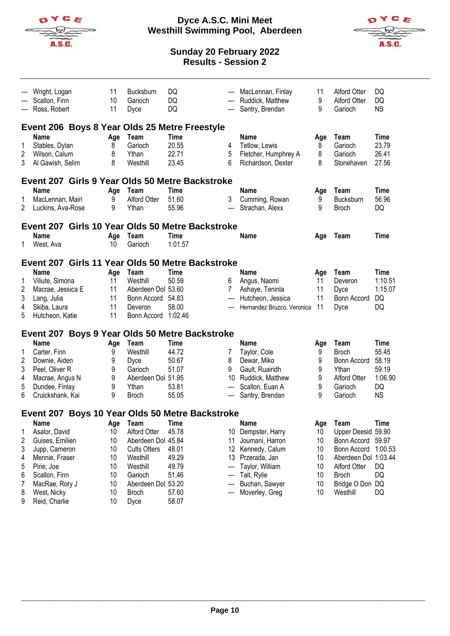

#### **Dyce A.S.C. Mini Meet Westhill Swimming Pool, Aberdeen**



|                                           | Wright, Logan<br>Scallon, Finn<br>Ross, Robert                                                                                                                                                                  | 11<br>10<br>11                                            | <b>Bucksburn</b><br>Garioch<br>Dyce                                                                                                                              | DQ<br>DQ<br>DQ                                                             |                                    | MacLennan, Finlay<br>Ruddick, Matthew<br>Santry, Brendan                                                                                            | 11<br>9<br>9                                        | <b>Alford Otter</b><br><b>Alford Otter</b><br>Garioch                                                                                                        | DQ<br>DQ<br><b>NS</b>                                         |
|-------------------------------------------|-----------------------------------------------------------------------------------------------------------------------------------------------------------------------------------------------------------------|-----------------------------------------------------------|------------------------------------------------------------------------------------------------------------------------------------------------------------------|----------------------------------------------------------------------------|------------------------------------|-----------------------------------------------------------------------------------------------------------------------------------------------------|-----------------------------------------------------|--------------------------------------------------------------------------------------------------------------------------------------------------------------|---------------------------------------------------------------|
| 1<br>2<br>3                               | Event 206 Boys 8 Year Olds 25 Metre Freestyle<br>Name<br>Stables, Dylan<br>Wilson, Calum<br>Al Gawish, Selim                                                                                                    | Age<br>8<br>8<br>8                                        | Team<br>Garioch<br>Ythan<br>Westhill                                                                                                                             | Time<br>20.55<br>22.71<br>23.45                                            | 4<br>5<br>6                        | <b>Name</b><br>Tetlow, Lewis<br>Fletcher, Humphrey A<br>Richardson, Dexter                                                                          | Age<br>8<br>8<br>8                                  | Team<br>Garioch<br>Garioch<br>Stonehaven                                                                                                                     | <b>Time</b><br>23.79<br>26.41<br>27.56                        |
| 1<br>2                                    | Event 207 Girls 9 Year Olds 50 Metre Backstroke<br><b>Name</b><br>MacLennan, Mairi<br>Luckins, Ava-Rose                                                                                                         | Age<br>9<br>9                                             | Team<br>Alford Otter<br>Ythan                                                                                                                                    | Time<br>51.60<br>55.96                                                     | 3<br>---                           | <b>Name</b><br>Cumming, Rowan<br>Strachan, Alexx                                                                                                    | Age<br>9<br>9                                       | Team<br>Bucksburn<br><b>Broch</b>                                                                                                                            | <b>Time</b><br>56.96<br>DQ                                    |
| 1.                                        | Event 207 Girls 10 Year Olds 50 Metre Backstroke<br><b>Name</b><br>West, Ava                                                                                                                                    | Age<br>10                                                 | Team<br>Garioch                                                                                                                                                  | Time<br>1:01.57                                                            |                                    | <b>Name</b>                                                                                                                                         | Age                                                 | Team                                                                                                                                                         | Time                                                          |
| 1<br>2<br>3<br>4<br>5                     | Event 207 Girls 11 Year Olds 50 Metre Backstroke<br><b>Name</b><br>Viliute, Simona<br>Macrae, Jessica E<br>Lang, Julia<br>Skiba, Laura<br>Hutcheon, Katie                                                       | Age<br>11<br>11<br>11<br>11<br>11                         | Team<br>Westhill<br>Aberdeen Dol 53.60<br>Bonn Accord 54.83<br>Deveron<br>Bonn Accord 1:02.46                                                                    | Time<br>50.59<br>58.00                                                     | 6<br>7<br>---                      | <b>Name</b><br>Angus, Naomi<br>Ashaye, Teninla<br>Hutcheon, Jessica<br>Hernandez Bruzco, Veronica                                                   | Age<br>11<br>11<br>11<br>11                         | Team<br>Deveron<br>Dyce<br>Bonn Accord<br>Dyce                                                                                                               | Time<br>1:10.51<br>1:15.07<br>DQ<br>DQ                        |
| 1<br>2<br>3<br>4<br>5<br>6                | Event 207 Boys 9 Year Olds 50 Metre Backstroke<br><b>Name</b><br>Carter, Finn<br>Downie, Aiden<br>Peel, Oliver R<br>Macrae, Angus N<br>Dundee, Finlay<br>Cruickshank, Kai                                       | Age<br>9<br>9<br>9<br>9<br>9<br>9                         | Team<br>Westhill<br>Dyce<br>Garioch<br>Aberdeen Dol 51.95<br>Ythan<br><b>Broch</b>                                                                               | <b>Time</b><br>44.72<br>50.67<br>51.07<br>53.81<br>55.05                   | 7<br>8<br>9<br>10<br>---<br>---    | <b>Name</b><br>Taylor, Cole<br>Dewar, Miko<br>Gault, Ruairidh<br>Ruddick, Matthew<br>Scallon, Euan A<br>Santry, Brendan                             | Age<br>9<br>9<br>9<br>9<br>9<br>9                   | Team<br><b>Broch</b><br>Bonn Accord<br>Ythan<br><b>Alford Otter</b><br>Garioch<br>Garioch                                                                    | Time<br>55.45<br>58.19<br>59.19<br>1:06.90<br>DQ<br><b>NS</b> |
| 1<br>2<br>3<br>4<br>5<br>6<br>7<br>8<br>9 | Event 207 Boys 10 Year Olds 50 Metre Backstroke<br>Name<br>Asalor, David<br>Guises, Emilien<br>Jupp, Cameron<br>Mennie, Fraser<br>Pirie, Joe<br>Scallon, Finn<br>MacRae, Rory J<br>West, Nicky<br>Reid, Charlie | Age<br>10<br>10<br>10<br>10<br>10<br>10<br>10<br>10<br>10 | <b>Team</b><br><b>Alford Otter</b><br>Aberdeen Dol 45.84<br><b>Cults Otters</b><br>Westhill<br>Westhill<br>Garioch<br>Aberdeen Dol 53.20<br><b>Broch</b><br>Dyce | <b>Time</b><br>45.78<br>48.01<br>49.29<br>49.79<br>51.46<br>57.60<br>58.07 | 10<br>11<br>12<br>13<br>---<br>--- | Name<br>Dempster, Harry<br>Joumani, Harron<br>Kennedy, Calum<br>Przerada, Jan<br>Taylor, William<br>Tait, Rylie<br>Buchan, Sawyer<br>Moverley, Greg | Age<br>10<br>10<br>10<br>10<br>10<br>10<br>10<br>10 | Team<br>Upper Deesid 59.90<br>Bonn Accord 59.97<br>Bonn Accord<br>Aberdeen Dol 1:03.44<br><b>Alford Otter</b><br><b>Broch</b><br>Bridge O Don DQ<br>Westhill | <b>Time</b><br>1:00.53<br>DQ<br>DQ<br>DQ                      |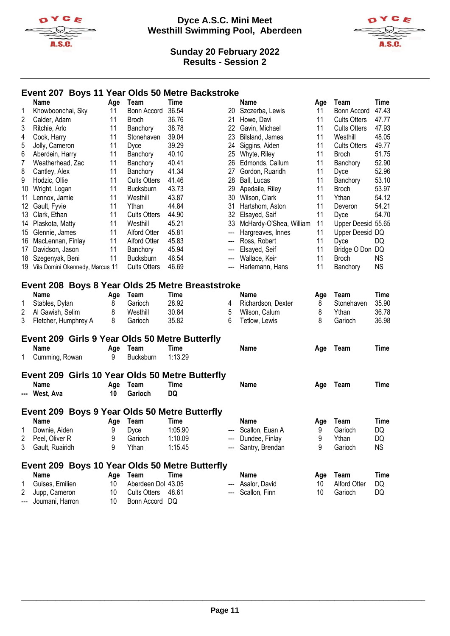



## **Event 207 Boys 11 Year Olds 50 Metre Backstroke**

|                | <b>Name</b>                                      | Age             | Team                | <b>Time</b> |     | <b>Name</b>             | Age | Team                | <b>Time</b> |
|----------------|--------------------------------------------------|-----------------|---------------------|-------------|-----|-------------------------|-----|---------------------|-------------|
| 1              | Khowboonchai, Sky                                | 11              | Bonn Accord         | 36.54       |     | 20 Szczerba, Lewis      | 11  | Bonn Accord         | 47.43       |
| 2              | Calder, Adam                                     | 11              | <b>Broch</b>        | 36.76       | 21  | Howe, Davi              | 11  | <b>Cults Otters</b> | 47.77       |
| 3              | Ritchie, Arlo                                    | 11              | Banchory            | 38.78       | 22  | Gavin, Michael          | 11  | <b>Cults Otters</b> | 47.93       |
| 4              | Cook, Harry                                      | 11              | Stonehaven          | 39.04       | 23  | Bilsland, James         | 11  | Westhill            | 48.05       |
| 5              | Jolly, Cameron                                   | 11              | Dyce                | 39.29       | 24  | Siggins, Aiden          | 11  | <b>Cults Otters</b> | 49.77       |
| 6              | Aberdein, Harry                                  | 11              | Banchory            | 40.10       | 25  | Whyte, Riley            | 11  | <b>Broch</b>        | 51.75       |
| $\overline{7}$ | Weatherhead, Zac                                 | 11              | Banchory            | 40.41       | 26  | Edmonds, Callum         | 11  | Banchory            | 52.90       |
| 8              | Cantley, Alex                                    | 11              | Banchory            | 41.34       | 27  | Gordon, Ruaridh         | 11  | Dyce                | 52.96       |
| 9              | Hodzic, Ollie                                    | 11              | <b>Cults Otters</b> | 41.46       | 28  | Ball, Lucas             | 11  | Banchory            | 53.10       |
| 10             | Wright, Logan                                    | 11              | Bucksburn           | 43.73       | 29  | Apedaile, Riley         | 11  | <b>Broch</b>        | 53.97       |
| 11             | Lennox, Jamie                                    | 11              | Westhill            | 43.87       | 30  | Wilson, Clark           | 11  | Ythan               | 54.12       |
| 12             | Gault, Fyvie                                     | 11              | Ythan               | 44.84       | 31  | Hartshom, Aston         | 11  | Deveron             | 54.21       |
| 13             | Clark, Ethan                                     | 11              | <b>Cults Otters</b> | 44.90       | 32  | Elsayed, Saif           | 11  | Dyce                | 54.70       |
| 14             | Plaskota, Matty                                  | 11              | Westhill            | 45.21       | 33  | McHardy-O'Shea, William | 11  | Upper Deesid 55.65  |             |
| 15.            | Glennie, James                                   | 11              | Alford Otter        | 45.81       | --- | Hargreaves, Innes       | 11  | Upper Deesid DQ     |             |
| 16             | MacLennan, Finlay                                | 11              | Alford Otter        | 45.83       | --- | Ross, Robert            | 11  | Dyce                | DQ          |
| 17             | Davidson, Jason                                  | 11              | Banchory            | 45.94       | --- | Elsayed, Seif           | 11  | Bridge O Don DQ     |             |
| 18             | Szegenyak, Beni                                  | 11              | <b>Bucksburn</b>    | 46.54       | --- | Wallace, Keir           | 11  | <b>Broch</b>        | <b>NS</b>   |
| 19.            | Vila Domini Okennedy, Marcus 11                  |                 | <b>Cults Otters</b> | 46.69       | --- | Harlemann, Hans         | 11  | Banchory            | <b>NS</b>   |
|                |                                                  |                 |                     |             |     |                         |     |                     |             |
|                | Event 208 Boys 8 Year Olds 25 Metre Breaststroke |                 |                     |             |     |                         |     |                     |             |
|                | Name                                             | Age             | Team                | Time        |     | Name                    | Age | Team                | <b>Time</b> |
| 1              | Stables, Dylan                                   | 8               | Garioch             | 28.92       | 4   | Richardson, Dexter      | 8   | Stonehaven          | 35.90       |
| 2              | Al Gawish, Selim                                 | 8               | Westhill            | 30.84       | 5   | Wilson, Calum           | 8   | Ythan               | 36.78       |
| 3              | Fletcher, Humphrey A                             | 8               | Garioch             | 35.82       | 6   | Tetlow, Lewis           | 8   | Garioch             | 36.98       |
|                |                                                  |                 |                     |             |     |                         |     |                     |             |
|                | Event 209 Girls 9 Year Olds 50 Metre Butterfly   |                 |                     |             |     |                         |     |                     |             |
|                | <b>Name</b>                                      | Age             | Team                | Time        |     | Name                    | Age | Team                | Time        |
| 1              | Cumming, Rowan                                   | 9               | Bucksburn           | 1:13.29     |     |                         |     |                     |             |
|                |                                                  |                 |                     |             |     |                         |     |                     |             |
|                | Event 209 Girls 10 Year Olds 50 Metre Butterfly  |                 |                     |             |     |                         |     |                     |             |
|                | <b>Name</b>                                      | Age             | Team                | Time        |     | Name                    | Age | Team                | Time        |
|                | --- West, Ava                                    | 10              | <b>Garioch</b>      | <b>DQ</b>   |     |                         |     |                     |             |
|                |                                                  |                 |                     |             |     |                         |     |                     |             |
|                | Event 209 Boys 9 Year Olds 50 Metre Butterfly    |                 |                     |             |     |                         |     |                     |             |
|                | <b>Name</b>                                      | Age             | Team                | Time        |     | Name                    | Age | Team                | Time        |
|                | Downie, Aiden                                    | 9               | Dyce                | 1:05.90     |     | Scallon, Euan A         | 9   | Garioch             | DQ          |
| 2              | Peel, Oliver R                                   | 9               | Garioch             | 1:10.09     |     | --- Dundee, Finlay      | 9   | Ythan               | DQ          |
| 3              | Gault, Ruairidh                                  | 9               | Ythan               | 1:15.45     |     | Santry, Brendan         | 9   | Garioch             | <b>NS</b>   |
|                |                                                  |                 |                     |             |     |                         |     |                     |             |
|                | Event 209 Boys 10 Year Olds 50 Metre Butterfly   |                 |                     |             |     |                         |     |                     |             |
|                | <b>Name</b>                                      | Age             | Team                | Time        |     | Name                    | Age | Team                | Time        |
| 1              | Guises, Emilien                                  | 10              | Aberdeen Dol 43.05  |             |     | Asalor, David           | 10  | <b>Alford Otter</b> | DQ          |
| 2              | Jupp, Cameron                                    | 10              | <b>Cults Otters</b> | 48.61       |     | Scallon, Finn           | 10  | Garioch             | DQ          |
|                | Joumani, Harron                                  | 10 <sup>°</sup> | Bonn Accord DQ      |             |     |                         |     |                     |             |